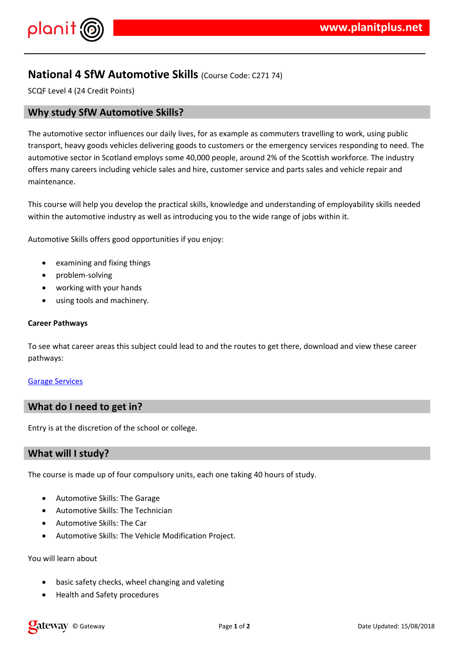#### $!$  " # \$  $\%$  % &

) %# %& \$ & \* %\$ \$%# + \* )), ) \$ # \$\$%& -+ %& .\$  $\frac{1}{2}$  (  $+$  ( #  $\qquad$  # (% \* \$  $\frac{1}{9}$  \$ % # )% & ( ) # & \*\* & & % & / ' & ) %# \* %& \* \$)& +) \$ \$ + & ( 0 \* % -( \* / '( %&<br>) & \* %#&(\*\$\*\$%&&\$% \* + ) # & \* \$ # (% \*\$ %  $96888*7$ 

 $'(%$  \* %\$\$(#\$\$( \* %\*\$-%\$\$ + & & \$ & %&)\$. %\$\\$\$ & % (%& () %# %& \$\$%& \*%& ( % & 1. % (%& % /

2 ) %# - % \$ \$ 8 %%% & 1

 $.$ \$ ) 3  $$$  # % &  $-$  % & % ( & % & \$)  $*$  & % & /

 $($   $($   $*$   $.1(^{\circ}\!\% \; * \; \$\$ \; 8)$  (  $( + 8 \hat{S} 8 \hat{H})$  $\sqrt{2}$ 

 $# 96 *$ 

%  $($  %  $*$  ( %\$ & \$ \$ ( / 4 &

 $($  \*  $\frac{9}{6})$  \*  $\frac{1}{3}$  & %  $\frac{1}{7}$  (&  $\frac{1}{6}$   $\frac{1}{8}$   $\frac{1}{1}$   $\frac{1}{1}$ 

2 ) % #- %  $$\$$  $\cdot$  (

、<br>'( ' \* (&%\*% &  $96#96$ \$\$  $2^{\circ}$ 

 $\overline{2}$  $\frac{9}{6}$  #- % \$ \$  $\cdot$  (

2 ) %#-%\$\$ ( 5 (% \*\$ 61 % /% \* % &

#### % \$ \$ \$ &  $7<sup>7</sup>$

 $\frac{1}{2}$  %\* \* (\*- + (\$\* (&& \%\$ %& 8 \$ ( &